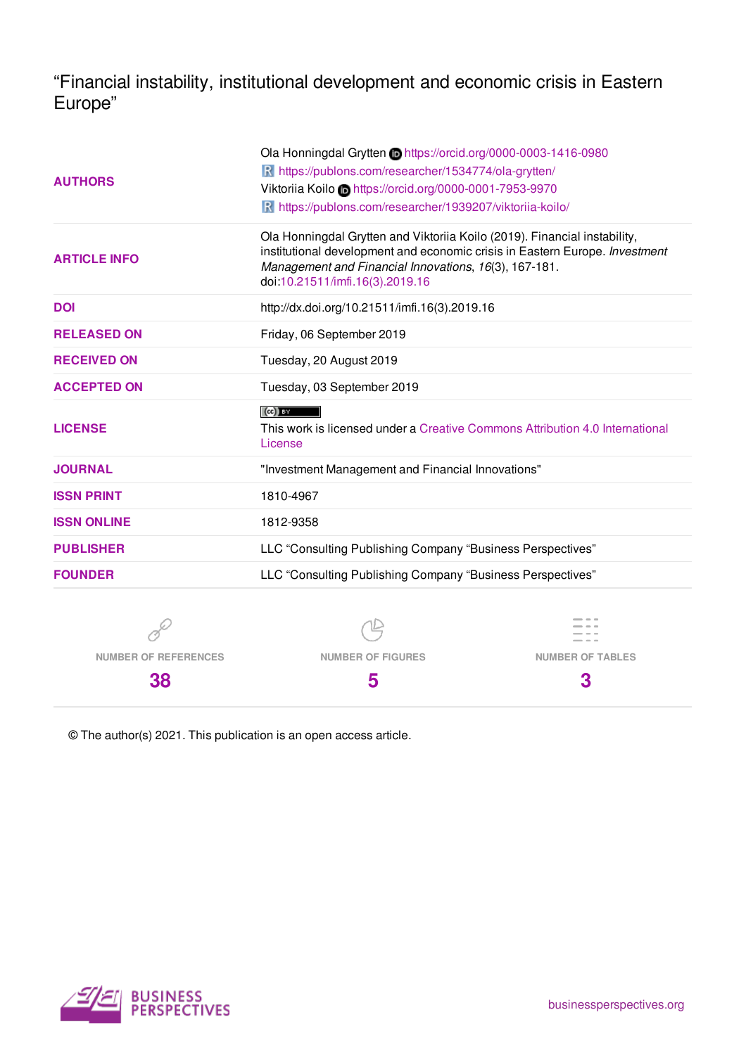"Financial instability, institutional development and economic crisis in Eastern Europe"

|                     | Ola Honningdal Grytten in https://orcid.org/0000-0003-1416-0980                                                                                                                                                                                      |  |  |  |  |  |  |
|---------------------|------------------------------------------------------------------------------------------------------------------------------------------------------------------------------------------------------------------------------------------------------|--|--|--|--|--|--|
|                     | R https://publons.com/researcher/1534774/ola-grytten/                                                                                                                                                                                                |  |  |  |  |  |  |
| <b>AUTHORS</b>      | Viktoriia Koilo Chttps://orcid.org/0000-0001-7953-9970                                                                                                                                                                                               |  |  |  |  |  |  |
|                     | R https://publons.com/researcher/1939207/viktoriia-koilo/                                                                                                                                                                                            |  |  |  |  |  |  |
| <b>ARTICLE INFO</b> | Ola Honningdal Grytten and Viktoriia Koilo (2019). Financial instability,<br>institutional development and economic crisis in Eastern Europe. Investment<br>Management and Financial Innovations, 16(3), 167-181.<br>doi:10.21511/imfi.16(3).2019.16 |  |  |  |  |  |  |
| <b>DOI</b>          | http://dx.doi.org/10.21511/imfi.16(3).2019.16                                                                                                                                                                                                        |  |  |  |  |  |  |
| <b>RELEASED ON</b>  | Friday, 06 September 2019                                                                                                                                                                                                                            |  |  |  |  |  |  |
| <b>RECEIVED ON</b>  | Tuesday, 20 August 2019                                                                                                                                                                                                                              |  |  |  |  |  |  |
| <b>ACCEPTED ON</b>  | Tuesday, 03 September 2019                                                                                                                                                                                                                           |  |  |  |  |  |  |
| <b>LICENSE</b>      | $(cc)$ BY<br>This work is licensed under a Creative Commons Attribution 4.0 International<br>License                                                                                                                                                 |  |  |  |  |  |  |
| <b>JOURNAL</b>      | "Investment Management and Financial Innovations"                                                                                                                                                                                                    |  |  |  |  |  |  |
| <b>ISSN PRINT</b>   | 1810-4967                                                                                                                                                                                                                                            |  |  |  |  |  |  |
| <b>ISSN ONLINE</b>  | 1812-9358                                                                                                                                                                                                                                            |  |  |  |  |  |  |
| <b>PUBLISHER</b>    | LLC "Consulting Publishing Company "Business Perspectives"                                                                                                                                                                                           |  |  |  |  |  |  |
| <b>FOUNDER</b>      | LLC "Consulting Publishing Company "Business Perspectives"                                                                                                                                                                                           |  |  |  |  |  |  |
|                     |                                                                                                                                                                                                                                                      |  |  |  |  |  |  |
|                     |                                                                                                                                                                                                                                                      |  |  |  |  |  |  |
|                     |                                                                                                                                                                                                                                                      |  |  |  |  |  |  |

**NUMBER OF REFERENCES**

**38**

**NUMBER OF FIGURES 5**

**NUMBER OF TABLES**

**3**

© The author(s) 2021. This publication is an open access article.

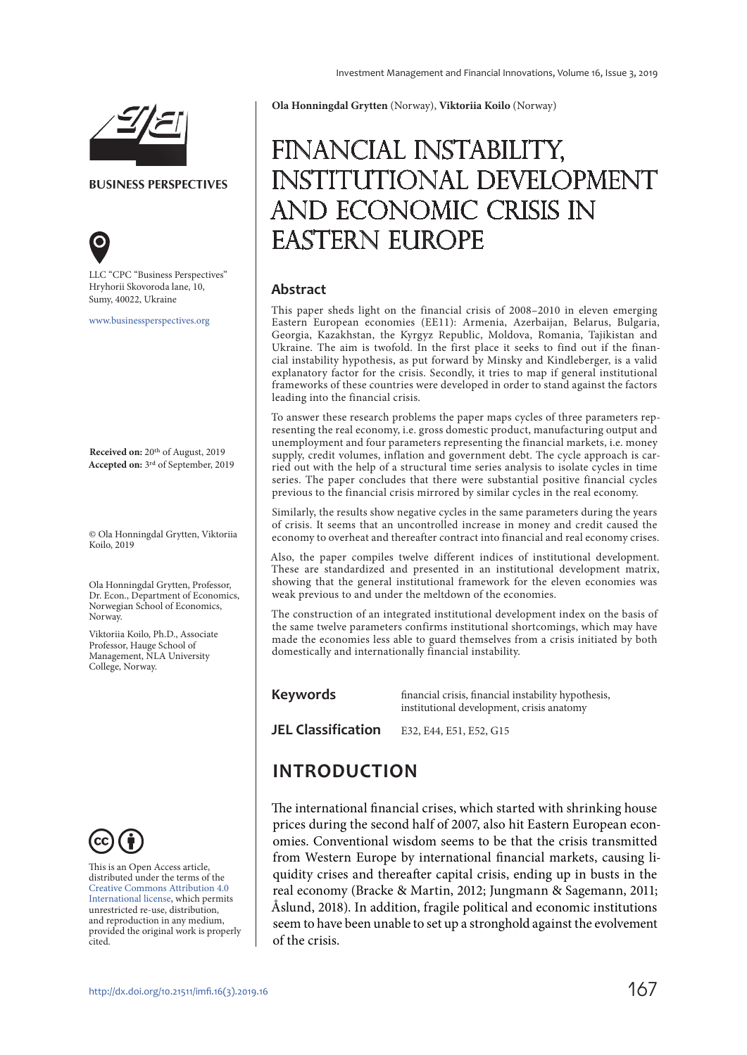



**BUSINESS PERSPECTIVES**



LLC "СPС "Business Perspectives" Hryhorii Skovoroda lane, 10, Sumy, 40022, Ukraine

www.businessperspectives.org

**Received on:** 20th of August, 2019 **Accepted on:** 3rd of September, 2019

© Ola Honningdal Grytten, Viktoriia Koilo, 2019

Ola Honningdal Grytten, Professor, Dr. Econ., Department of Economics, Norwegian School of Economics, Norway.

Viktoriia Koilo, Ph.D., Associate Professor, Hauge School of Management, NLA University College, Norway.



This is an Open Access article, distributed under the terms of the Creative Commons Attribution 4.0 International license, which permits unrestricted re-use, distribution, and reproduction in any medium, provided the original work is properly cited.

**Ola Honningdal Grytten** (Norway), **Viktoriia Koilo** (Norway)

# Financial instability, institutional development and economic crisis in Eastern Europe

#### **Abstract**

This paper sheds light on the financial crisis of 2008–2010 in eleven emerging Eastern European economies (EE11): Armenia, Azerbaijan, Belarus, Bulgaria, Georgia, Kazakhstan, the Kyrgyz Republic, Moldova, Romania, Tajikistan and Ukraine. The aim is twofold. In the first place it seeks to find out if the financial instability hypothesis, as put forward by Minsky and Kindleberger, is a valid explanatory factor for the crisis. Secondly, it tries to map if general institutional frameworks of these countries were developed in order to stand against the factors leading into the financial crisis.

To answer these research problems the paper maps cycles of three parameters representing the real economy, i.e. gross domestic product, manufacturing output and unemployment and four parameters representing the financial markets, i.e. money supply, credit volumes, inflation and government debt. The cycle approach is carried out with the help of a structural time series analysis to isolate cycles in time series. The paper concludes that there were substantial positive financial cycles previous to the financial crisis mirrored by similar cycles in the real economy.

Similarly, the results show negative cycles in the same parameters during the years of crisis. It seems that an uncontrolled increase in money and credit caused the economy to overheat and thereafter contract into financial and real economy crises.

Also, the paper compiles twelve different indices of institutional development. These are standardized and presented in an institutional development matrix, showing that the general institutional framework for the eleven economies was weak previous to and under the meltdown of the economies.

The construction of an integrated institutional development index on the basis of the same twelve parameters confirms institutional shortcomings, which may have made the economies less able to guard themselves from a crisis initiated by both domestically and internationally financial instability.

#### **Keywords**

financial crisis, financial instability hypothesis, institutional development, crisis anatomy

**JEL Classification** E32, E44, E51, E52, G15

## **INTRODUCTION**

The international financial crises, which started with shrinking house prices during the second half of 2007, also hit Eastern European economies. Conventional wisdom seems to be that the crisis transmitted from Western Europe by international financial markets, causing liquidity crises and thereafter capital crisis, ending up in busts in the real economy (Bracke & Martin, 2012; Jungmann & Sagemann, 2011; Åslund, 2018). In addition, fragile political and economic institutions seem to have been unable to set up a stronghold against the evolvement of the crisis.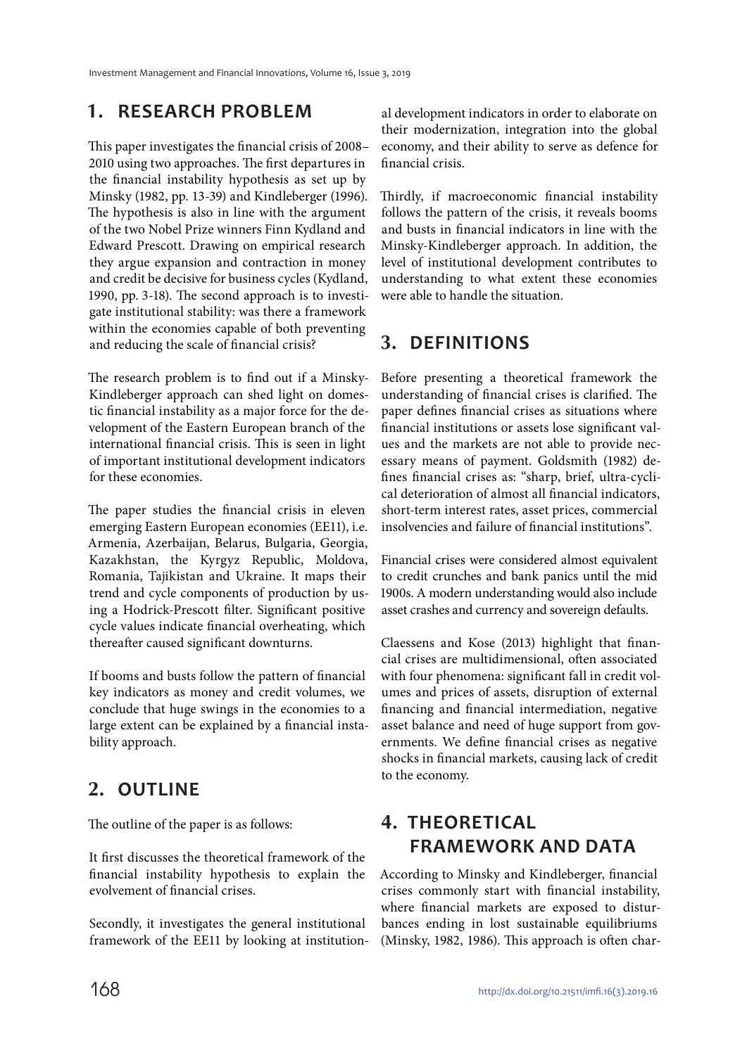### **1. RESEARCH PROBLEM**

This paper investigates the financial crisis of 2008– 2010 using two approaches. The first departures in the financial instability hypothesis as set up by Minsky (1982, pp. 13-39) and Kindleberger (1996). The hypothesis is also in line with the argument of the two Nobel Prize winners Finn Kydland and Edward Prescott. Drawing on empirical research they argue expansion and contraction in money and credit be decisive for business cycles (Kydland, 1990, pp. 3-18). The second approach is to investigate institutional stability: was there a framework within the economies capable of both preventing and reducing the scale of financial crisis?

The research problem is to find out if a Minsky-Kindleberger approach can shed light on domestic financial instability as a major force for the development of the Eastern European branch of the international financial crisis. This is seen in light of important institutional development indicators for these economies.

The paper studies the financial crisis in eleven emerging Eastern European economies (EE11), i.e. Armenia, Azerbaijan, Belarus, Bulgaria, Georgia, Kazakhstan, the Kyrgyz Republic, Moldova, Romania, Tajikistan and Ukraine. It maps their trend and cycle components of production by using a Hodrick-Prescott filter. Significant positive cycle values indicate financial overheating, which thereafter caused significant downturns.

If booms and busts follow the pattern of financial key indicators as money and credit volumes, we conclude that huge swings in the economies to a large extent can be explained by a financial instability approach.

## **2. OUTLINE**

The outline of the paper is as follows:

It first discusses the theoretical framework of the financial instability hypothesis to explain the evolvement of financial crises.

Secondly, it investigates the general institutional framework of the EE11 by looking at institutional development indicators in order to elaborate on their modernization, integration into the global economy, and their ability to serve as defence for financial crisis.

Thirdly, if macroeconomic financial instability follows the pattern of the crisis, it reveals booms and busts in financial indicators in line with the Minsky-Kindleberger approach. In addition, the level of institutional development contributes to understanding to what extent these economies were able to handle the situation.

## **3. DEFINITIONS**

Before presenting a theoretical framework the understanding of financial crises is clarified. The paper defines financial crises as situations where financial institutions or assets lose significant values and the markets are not able to provide necessary means of payment. Goldsmith (1982) defines financial crises as: "sharp, brief, ultra-cyclical deterioration of almost all financial indicators, short-term interest rates, asset prices, commercial insolvencies and failure of financial institutions".

Financial crises were considered almost equivalent to credit crunches and bank panics until the mid 1900s. A modern understanding would also include asset crashes and currency and sovereign defaults.

Claessens and Kose (2013) highlight that financial crises are multidimensional, often associated with four phenomena: significant fall in credit volumes and prices of assets, disruption of external financing and financial intermediation, negative asset balance and need of huge support from governments. We define financial crises as negative shocks in financial markets, causing lack of credit to the economy.

## **4. THEORETICAL FRAMEWORK AND DATA**

According to Minsky and Kindleberger, financial crises commonly start with financial instability, where financial markets are exposed to disturbances ending in lost sustainable equilibriums (Minsky, 1982, 1986). This approach is often char-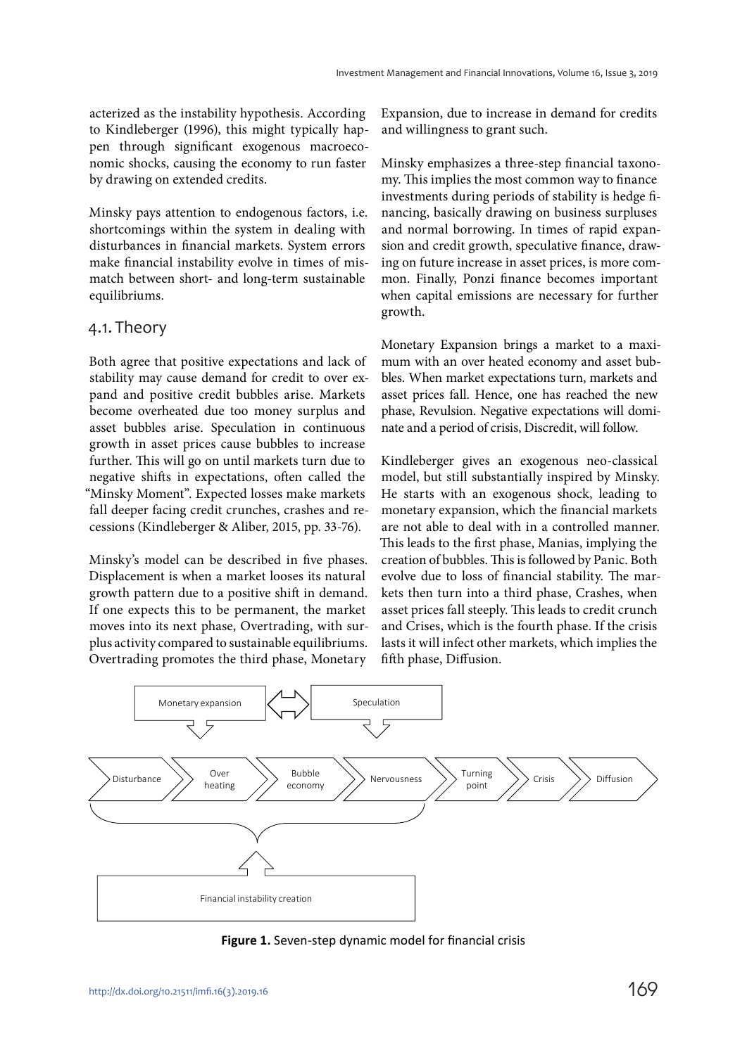acterized as the instability hypothesis. According to Kindleberger (1996), this might typically happen through significant exogenous macroeconomic shocks, causing the economy to run faster by drawing on extended credits.

Minsky pays attention to endogenous factors, i.e. shortcomings within the system in dealing with disturbances in financial markets. System errors make financial instability evolve in times of mismatch between short- and long-term sustainable equilibriums.

#### 4.1. Theory

Both agree that positive expectations and lack of stability may cause demand for credit to over expand and positive credit bubbles arise. Markets become overheated due too money surplus and asset bubbles arise. Speculation in continuous growth in asset prices cause bubbles to increase further. This will go on until markets turn due to negative shifts in expectations, often called the "Minsky Moment". Expected losses make markets fall deeper facing credit crunches, crashes and recessions (Kindleberger & Aliber, 2015, pp. 33-76).

Minsky's model can be described in five phases. Displacement is when a market looses its natural growth pattern due to a positive shift in demand. If one expects this to be permanent, the market moves into its next phase, Overtrading, with surplus activity compared to sustainable equilibriums. Overtrading promotes the third phase, Monetary

Expansion, due to increase in demand for credits and willingness to grant such.

Minsky emphasizes a three-step financial taxonomy. This implies the most common way to finance investments during periods of stability is hedge financing, basically drawing on business surpluses and normal borrowing. In times of rapid expansion and credit growth, speculative finance, drawing on future increase in asset prices, is more common. Finally, Ponzi finance becomes important when capital emissions are necessary for further growth.

Monetary Expansion brings a market to a maximum with an over heated economy and asset bubbles. When market expectations turn, markets and asset prices fall. Hence, one has reached the new phase, Revulsion. Negative expectations will dominate and a period of crisis, Discredit, will follow.

Kindleberger gives an exogenous neo-classical model, but still substantially inspired by Minsky. He starts with an exogenous shock, leading to monetary expansion, which the financial markets are not able to deal with in a controlled manner. This leads to the first phase, Manias, implying the creation of bubbles. This is followed by Panic. Both evolve due to loss of financial stability. The markets then turn into a third phase, Crashes, when asset prices fall steeply. This leads to credit crunch and Crises, which is the fourth phase. If the crisis lasts it will infect other markets, which implies the fifth phase, Diffusion.



**Figure 1.** Seven-step dynamic model for financial crisis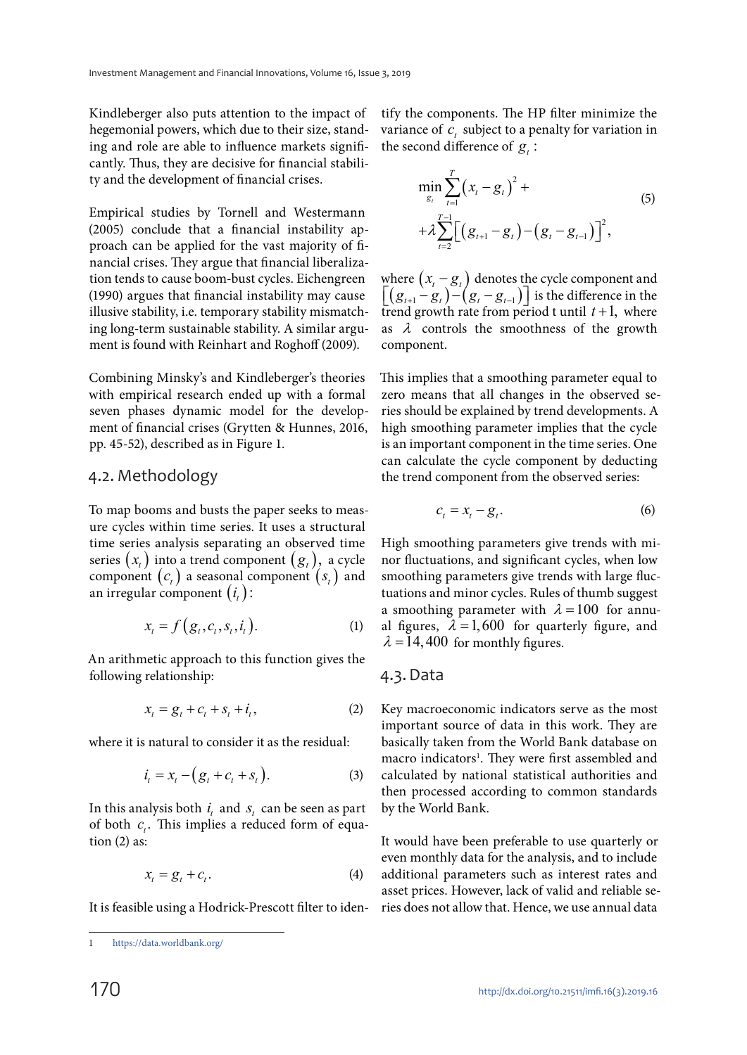Kindleberger also puts attention to the impact of hegemonial powers, which due to their size, standing and role are able to influence markets significantly. Thus, they are decisive for financial stability and the development of financial crises.

Empirical studies by Tornell and Westermann (2005) conclude that a financial instability approach can be applied for the vast majority of financial crises. They argue that financial liberalization tends to cause boom-bust cycles. Eichengreen (1990) argues that financial instability may cause illusive stability, i.e. temporary stability mismatching long-term sustainable stability. A similar argument is found with Reinhart and Roghoff (2009).

Combining Minsky's and Kindleberger's theories with empirical research ended up with a formal seven phases dynamic model for the development of financial crises (Grytten & Hunnes, 2016, pp. 45-52), described as in Figure 1.

#### 4.2. Methodology

To map booms and busts the paper seeks to measure cycles within time series. It uses a structural time series analysis separating an observed time series  $(x_i)$  into a trend component  $(g_i)$ , a cycle component  $(c_t)$  a seasonal component  $(s_t)$  and an irregular component  $(i_t)$ :

$$
x_t = f(g_t, c_t, s_t, i_t). \tag{1}
$$

An arithmetic approach to this function gives the following relationship:

$$
x_t = g_t + c_t + s_t + i_t, \qquad (2)
$$

where it is natural to consider it as the residual:

$$
i_t = x_t - (g_t + c_t + s_t).
$$
 (3)

In this analysis both  $i_t$  and  $s_t$  can be seen as part of both  $c_i$ . This implies a reduced form of equation  $(2)$  as:

$$
x_t = g_t + c_t. \tag{4}
$$

It is feasible using a Hodrick-Prescott filter to iden-

tify the components. The HP filter minimize the variance of  $c_t$  subject to a penalty for variation in the second difference of  $g_i$ :

$$
\min_{g_t} \sum_{t=1}^T (x_t - g_t)^2 + \\ + \lambda \sum_{t=2}^{T-1} \Big[ \big( g_{t+1} - g_t \big) - \big( g_t - g_{t-1} \big) \Big]^2,
$$
\n(5)

where  $(x_{t} - g_{t})$  denotes the cycle component and  $\lceil (g_{t+1} - g_t) - (g_t - g_{t-1}) \rceil$  is the difference in the trend growth rate from period t until  $t + 1$ , where as  $\lambda$  controls the smoothness of the growth component.

This implies that a smoothing parameter equal to zero means that all changes in the observed series should be explained by trend developments. A high smoothing parameter implies that the cycle is an important component in the time series. One can calculate the cycle component by deducting the trend component from the observed series:

$$
c_t = x_t - g_t. \tag{6}
$$

High smoothing parameters give trends with minor fluctuations, and significant cycles, when low smoothing parameters give trends with large fluctuations and minor cycles. Rules of thumb suggest a smoothing parameter with  $\lambda = 100$  for annual figures,  $\lambda = 1,600$  for quarterly figure, and  $\lambda = 14,400$  for monthly figures.

#### 4.3. Data

Key macroeconomic indicators serve as the most important source of data in this work. They are basically taken from the World Bank database on macro indicators<sup>1</sup>. They were first assembled and calculated by national statistical authorities and then processed according to common standards by the World Bank.

It would have been preferable to use quarterly or even monthly data for the analysis, and to include additional parameters such as interest rates and asset prices. However, lack of valid and reliable series does not allow that. Hence, we use annual data

https://data.worldbank.org/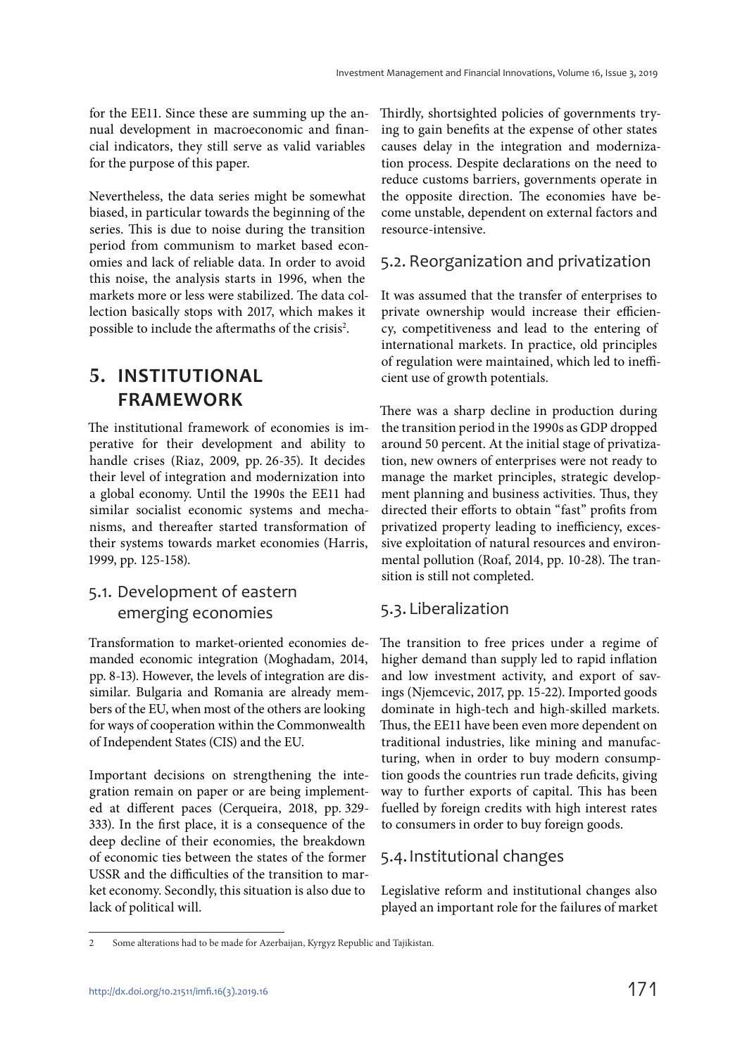for the EE11. Since these are summing up the annual development in macroeconomic and financial indicators, they still serve as valid variables for the purpose of this paper.

Nevertheless, the data series might be somewhat biased, in particular towards the beginning of the series. This is due to noise during the transition period from communism to market based economies and lack of reliable data. In order to avoid this noise, the analysis starts in 1996, when the markets more or less were stabilized. The data collection basically stops with 2017, which makes it possible to include the aftermaths of the crisis<sup>2</sup>.

## **5. INSTITUTIONAL FRAMEWORK**

The institutional framework of economies is imperative for their development and ability to handle crises (Riaz, 2009, pp. 26-35). It decides their level of integration and modernization into a global economy. Until the 1990s the EE11 had similar socialist economic systems and mechanisms, and thereafter started transformation of their systems towards market economies (Harris, 1999, pp. 125-158).

### 5.1. Development of eastern emerging economies

Transformation to market-oriented economies demanded economic integration (Moghadam, 2014, pp. 8-13). However, the levels of integration are dissimilar. Bulgaria and Romania are already members of the EU, when most of the others are looking for ways of cooperation within the Commonwealth of Independent States (CIS) and the EU.

Important decisions on strengthening the integration remain on paper or are being implemented at different paces (Cerqueira, 2018, pp. 329- 333). In the first place, it is a consequence of the deep decline of their economies, the breakdown of economic ties between the states of the former USSR and the difficulties of the transition to market economy. Secondly, this situation is also due to lack of political will.

Thirdly, shortsighted policies of governments trying to gain benefits at the expense of other states causes delay in the integration and modernization process. Despite declarations on the need to reduce customs barriers, governments operate in the opposite direction. The economies have become unstable, dependent on external factors and resource-intensive.

### 5.2. Reorganization and privatization

It was assumed that the transfer of enterprises to private ownership would increase their efficiency, competitiveness and lead to the entering of international markets. In practice, old principles of regulation were maintained, which led to inefficient use of growth potentials.

There was a sharp decline in production during the transition period in the 1990s as GDP dropped around 50 percent. At the initial stage of privatization, new owners of enterprises were not ready to manage the market principles, strategic development planning and business activities. Thus, they directed their efforts to obtain "fast" profits from privatized property leading to inefficiency, excessive exploitation of natural resources and environmental pollution (Roaf, 2014, pp. 10-28). The transition is still not completed.

### 5.3. Liberalization

The transition to free prices under a regime of higher demand than supply led to rapid inflation and low investment activity, and export of savings (Njemcevic, 2017, pp. 15-22). Imported goods dominate in high-tech and high-skilled markets. Thus, the EE11 have been even more dependent on traditional industries, like mining and manufacturing, when in order to buy modern consumption goods the countries run trade deficits, giving way to further exports of capital. This has been fuelled by foreign credits with high interest rates to consumers in order to buy foreign goods.

### 5.4. Institutional changes

Legislative reform and institutional changes also played an important role for the failures of market

<sup>2</sup> Some alterations had to be made for Azerbaijan, Kyrgyz Republic and Tajikistan.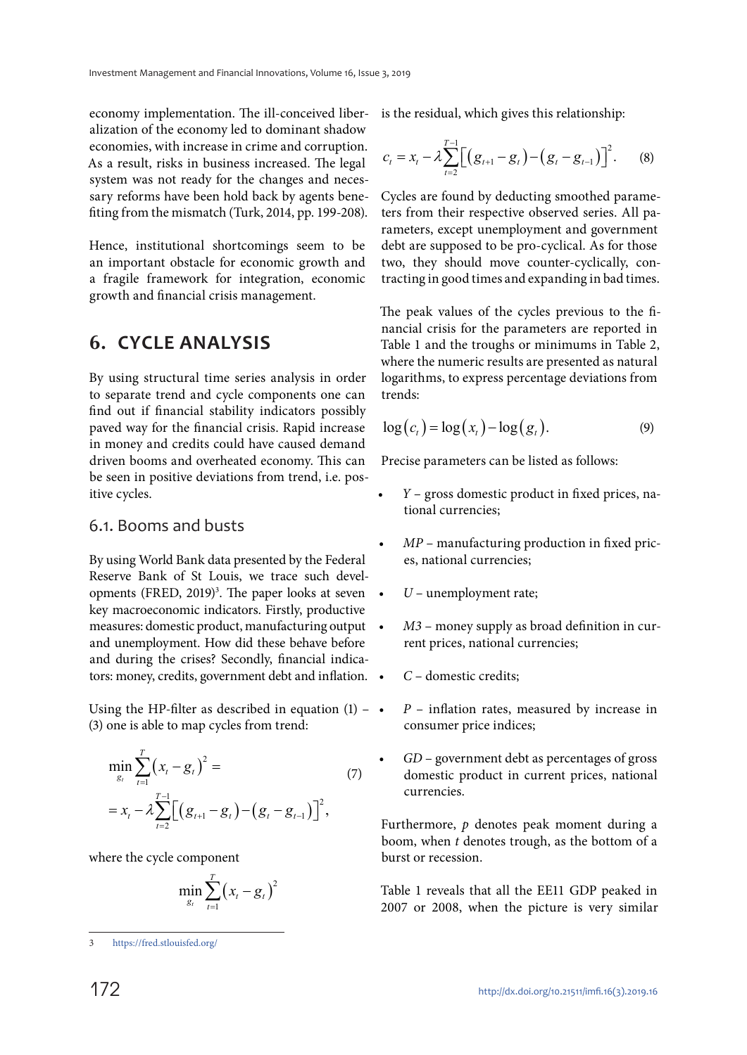economy implementation. The ill-conceived liberalization of the economy led to dominant shadow economies, with increase in crime and corruption. As a result, risks in business increased. The legal system was not ready for the changes and necessary reforms have been hold back by agents benefiting from the mismatch (Turk, 2014, pp. 199-208).

Hence, institutional shortcomings seem to be an important obstacle for economic growth and a fragile framework for integration, economic growth and financial crisis management.

### **6. CYCLE ANALYSIS**

By using structural time series analysis in order to separate trend and cycle components one can find out if financial stability indicators possibly paved way for the financial crisis. Rapid increase in money and credits could have caused demand driven booms and overheated economy. This can be seen in positive deviations from trend, i.e. positive cycles.

#### 6.1. Booms and busts

By using World Bank data presented by the Federal Reserve Bank of St Louis, we trace such developments (FRED, 2019)<sup>3</sup>. The paper looks at seven key macroeconomic indicators. Firstly, productive measures: domestic product, manufacturing output and unemployment. How did these behave before and during the crises? Secondly, financial indicators: money, credits, government debt and inflation.  $\bullet$ 

Using the HP-filter as described in equation  $(1)$  –  $\bullet$ (3) one is able to map cycles from trend:

$$
\min_{g_t} \sum_{t=1}^T (x_t - g_t)^2 =
$$
\n
$$
= x_t - \lambda \sum_{t=2}^{T-1} \Big[ \Big( g_{t+1} - g_t \Big) - \Big( g_t - g_{t-1} \Big) \Big]^2,
$$
\n(7)

where the cycle component

$$
\min_{g_t} \sum_{t=1}^T (x_t - g_t)^2
$$

is the residual, which gives this relationship:

$$
c_{t} = x_{t} - \lambda \sum_{t=2}^{T-1} \Big[ \big( g_{t+1} - g_{t} \big) - \big( g_{t} - g_{t-1} \big) \Big]^{2}.
$$
 (8)

Cycles are found by deducting smoothed parameters from their respective observed series. All parameters, except unemployment and government debt are supposed to be pro-cyclical. As for those two, they should move counter-cyclically, contracting in good times and expanding in bad times.

The peak values of the cycles previous to the financial crisis for the parameters are reported in Table 1 and the troughs or minimums in Table 2, where the numeric results are presented as natural logarithms, to express percentage deviations from trends:

$$
\log(c_t) = \log(x_t) - \log(g_t). \tag{9}
$$

Precise parameters can be listed as follows:

- $Y$  gross domestic product in fixed prices, national currencies;
- $MP$  manufacturing production in fixed prices, national currencies;
- $U$  unemployment rate;
- $M3$  money supply as broad definition in current prices, national currencies;
- C domestic credits;
- $P$  inflation rates, measured by increase in consumer price indices;
- GD government debt as percentages of gross domestic product in current prices, national currencies.

Furthermore,  $p$  denotes peak moment during a boom, when t denotes trough, as the bottom of a burst or recession.

Table 1 reveals that all the EE11 GDP peaked in 2007 or 2008, when the picture is very similar

<sup>3</sup> https://fred.stlouisfed.org/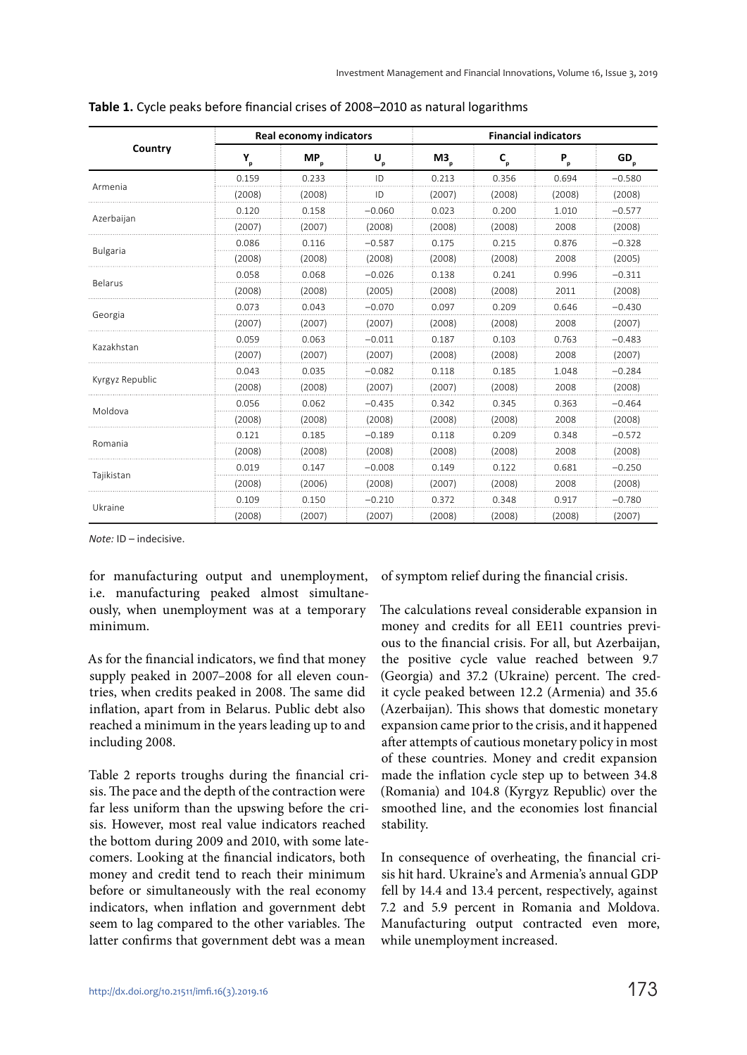|                 |                              | <b>Real economy indicators</b> |          | <b>Financial indicators</b> |                                                                                                                                      |                                                                                                                                                                                                                                 |                                                                                                                                                                                        |  |  |
|-----------------|------------------------------|--------------------------------|----------|-----------------------------|--------------------------------------------------------------------------------------------------------------------------------------|---------------------------------------------------------------------------------------------------------------------------------------------------------------------------------------------------------------------------------|----------------------------------------------------------------------------------------------------------------------------------------------------------------------------------------|--|--|
| Country         | $\mathbf{Y}_{_{\mathbf{p}}}$ | $MP_p$                         | U,       | $M3_{\circ}$                | $\mathsf{C}_{\scriptscriptstyle{\mathsf{p}}}$                                                                                        | $P_{p}$                                                                                                                                                                                                                         | GD <sub>p</sub>                                                                                                                                                                        |  |  |
|                 | 0.159                        | 0.233                          | ID       | 0.213                       | 0.356                                                                                                                                | 0.694                                                                                                                                                                                                                           | $-0.580$                                                                                                                                                                               |  |  |
| Armenia         | (2008)                       | (2008)                         | ID       | (2007)                      | (2008)                                                                                                                               | (2008)                                                                                                                                                                                                                          | (2008)                                                                                                                                                                                 |  |  |
|                 | 0.120                        | 0.158                          | $-0.060$ | 0.023                       | 0.200                                                                                                                                | 1.010                                                                                                                                                                                                                           | $-0.577$                                                                                                                                                                               |  |  |
| Azerbaijan      | (2007)                       | (2007)                         | (2008)   | (2008)                      | (2008)                                                                                                                               | 2008                                                                                                                                                                                                                            | (2008)                                                                                                                                                                                 |  |  |
|                 | 0.086                        | 0.116                          | $-0.587$ | 0.175                       | 0.215                                                                                                                                | 0.876<br>2008<br>0.241<br>0.996<br>2011<br>0.209<br>0.646<br>2008<br>0.103<br>0.763<br>2008<br>0.185<br>1.048<br>2008<br>0.363<br>0.345<br>2008<br>0.209<br>0.348<br>2008<br>0.681<br>0.122<br>2008<br>0.348<br>0.917<br>(2008) | $-0.328$                                                                                                                                                                               |  |  |
| <b>Bulgaria</b> | (2008)                       | (2008)                         | (2008)   | (2008)                      | (2008)                                                                                                                               |                                                                                                                                                                                                                                 | (2005)<br>$-0.311$<br>(2008)<br>$-0.430$<br>(2007)<br>$-0.483$<br>(2007)<br>$-0.284$<br>(2008)<br>$-0.464$<br>(2008)<br>$-0.572$<br>(2008)<br>$-0.250$<br>(2008)<br>$-0.780$<br>(2007) |  |  |
|                 | 0.058                        | 0.068                          | $-0.026$ | 0.138                       |                                                                                                                                      |                                                                                                                                                                                                                                 |                                                                                                                                                                                        |  |  |
| <b>Belarus</b>  | (2008)                       | (2008)                         | (2005)   | (2008)                      | (2008)                                                                                                                               |                                                                                                                                                                                                                                 |                                                                                                                                                                                        |  |  |
|                 | 0.073                        | 0.043                          | $-0.070$ | 0.097                       |                                                                                                                                      |                                                                                                                                                                                                                                 |                                                                                                                                                                                        |  |  |
| Georgia         | (2007)                       | (2007)                         | (2007)   | (2008)                      | (2008)                                                                                                                               |                                                                                                                                                                                                                                 |                                                                                                                                                                                        |  |  |
| Kazakhstan      | 0.059                        | 0.063                          | $-0.011$ | 0.187                       |                                                                                                                                      |                                                                                                                                                                                                                                 |                                                                                                                                                                                        |  |  |
|                 | (2007)                       | (2007)                         | (2007)   | (2008)                      | (2008)                                                                                                                               |                                                                                                                                                                                                                                 |                                                                                                                                                                                        |  |  |
|                 | 0.043                        | 0.035                          | $-0.082$ | 0.118                       | (2007)<br>(2008)<br>0.342<br>(2008)<br>(2008)<br>0.118<br>(2008)<br>(2008)<br>0.149<br>(2007)<br>(2008)<br>0.372<br>(2008)<br>(2008) |                                                                                                                                                                                                                                 |                                                                                                                                                                                        |  |  |
| Kyrgyz Republic | (2008)                       | (2008)                         | (2007)   |                             |                                                                                                                                      |                                                                                                                                                                                                                                 |                                                                                                                                                                                        |  |  |
|                 | 0.056                        | 0.062                          | $-0.435$ |                             |                                                                                                                                      |                                                                                                                                                                                                                                 |                                                                                                                                                                                        |  |  |
| Moldova         | (2008)                       | (2008)                         | (2008)   |                             |                                                                                                                                      |                                                                                                                                                                                                                                 |                                                                                                                                                                                        |  |  |
|                 | 0.121                        | 0.185                          | $-0.189$ |                             |                                                                                                                                      |                                                                                                                                                                                                                                 |                                                                                                                                                                                        |  |  |
| Romania         | (2008)                       | (2008)                         | (2008)   |                             |                                                                                                                                      |                                                                                                                                                                                                                                 |                                                                                                                                                                                        |  |  |
|                 | 0.019                        | 0.147                          | $-0.008$ |                             |                                                                                                                                      |                                                                                                                                                                                                                                 |                                                                                                                                                                                        |  |  |
| Tajikistan      | (2008)                       | (2006)                         | (2008)   |                             |                                                                                                                                      |                                                                                                                                                                                                                                 |                                                                                                                                                                                        |  |  |
|                 | 0.109                        | 0.150                          | $-0.210$ |                             |                                                                                                                                      |                                                                                                                                                                                                                                 |                                                                                                                                                                                        |  |  |
| Ukraine         | (2008)                       | (2007)                         | (2007)   |                             |                                                                                                                                      |                                                                                                                                                                                                                                 |                                                                                                                                                                                        |  |  |

**Table 1.** Cycle peaks before financial crises of 2008–2010 as natural logarithms

*Note:* ID – indecisive.

for manufacturing output and unemployment, i.e. manufacturing peaked almost simultaneously, when unemployment was at a temporary minimum.

As for the financial indicators, we find that money supply peaked in 2007–2008 for all eleven countries, when credits peaked in 2008. The same did inflation, apart from in Belarus. Public debt also reached a minimum in the years leading up to and including 2008.

Table 2 reports troughs during the financial crisis. The pace and the depth of the contraction were far less uniform than the upswing before the crisis. However, most real value indicators reached the bottom during 2009 and 2010, with some latecomers. Looking at the financial indicators, both money and credit tend to reach their minimum before or simultaneously with the real economy indicators, when inflation and government debt seem to lag compared to the other variables. The latter confirms that government debt was a mean

of symptom relief during the financial crisis.

The calculations reveal considerable expansion in money and credits for all EE11 countries previous to the financial crisis. For all, but Azerbaijan, the positive cycle value reached between 9.7 (Georgia) and 37.2 (Ukraine) percent. The credit cycle peaked between 12.2 (Armenia) and 35.6 (Azerbaijan). This shows that domestic monetary expansion came prior to the crisis, and it happened after attempts of cautious monetary policy in most of these countries. Money and credit expansion made the inflation cycle step up to between 34.8 (Romania) and 104.8 (Kyrgyz Republic) over the smoothed line, and the economies lost financial stability.

In consequence of overheating, the financial crisis hit hard. Ukraine's and Armenia's annual GDP fell by 14.4 and 13.4 percent, respectively, against 7.2 and 5.9 percent in Romania and Moldova. Manufacturing output contracted even more, while unemployment increased.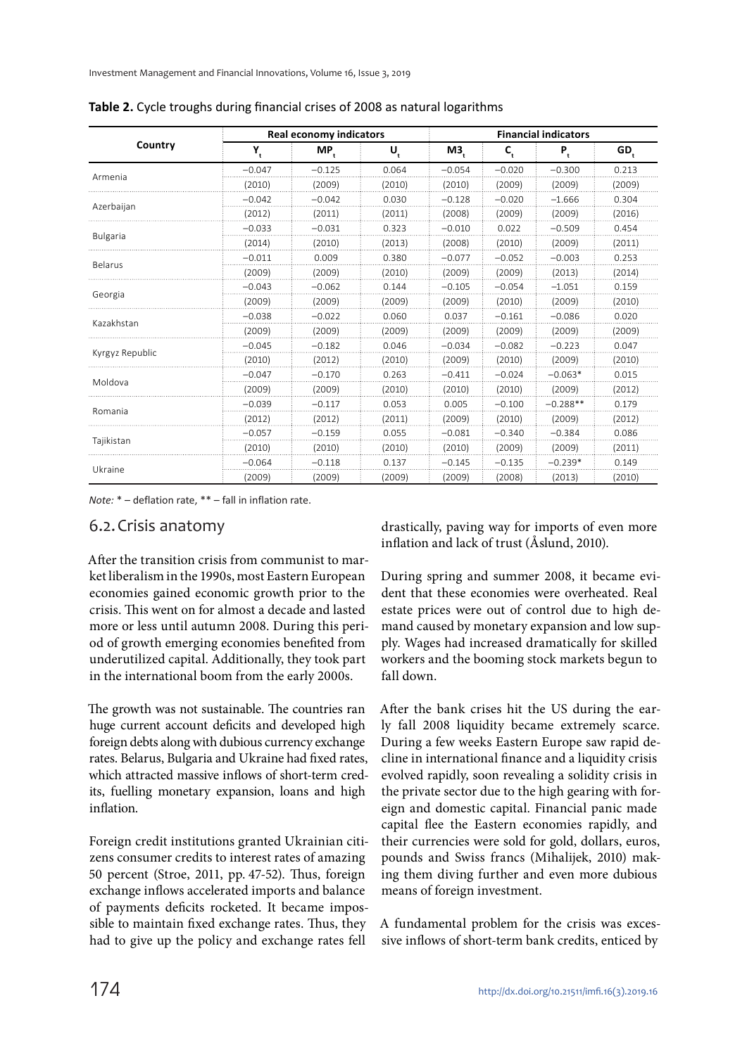|                 |          | Real economy indicators |                           |          | <b>Financial indicators</b> |                                                                                                                |                 |  |  |  |
|-----------------|----------|-------------------------|---------------------------|----------|-----------------------------|----------------------------------------------------------------------------------------------------------------|-----------------|--|--|--|
| Country         | Y,       | $MP_t$                  | $\mathsf{U}_{\mathrm{t}}$ | Μ3,      | $\mathsf{C}_\ast$           | $P_{t}$                                                                                                        | GD <sub>,</sub> |  |  |  |
|                 | $-0.047$ | $-0.125$                | 0.064                     | $-0.054$ | $-0.020$                    | $-0.300$                                                                                                       | 0.213           |  |  |  |
| Armenia         | (2010)   | (2009)                  | (2010)                    | (2010)   | (2009)                      | (2009)                                                                                                         | (2009)          |  |  |  |
|                 | $-0.042$ | $-0.042$                | 0.030                     | $-0.128$ | $-0.020$                    | $-1.666$                                                                                                       | 0.304           |  |  |  |
| Azerbaijan      | (2012)   | (2011)                  | (2011)                    | (2008)   | (2009)                      | (2009)                                                                                                         | (2016)          |  |  |  |
|                 | $-0.033$ | $-0.031$                | 0.323                     | $-0.010$ | 0.022                       | $-0.509$                                                                                                       | 0.454           |  |  |  |
| <b>Bulgaria</b> | (2014)   | (2010)                  | (2013)                    | (2008)   | (2010)                      | (2009)                                                                                                         | (2011)          |  |  |  |
|                 | $-0.011$ | 0.009                   | 0.380                     | $-0.077$ | $-0.052$                    | $-0.003$                                                                                                       | 0.253           |  |  |  |
| <b>Belarus</b>  | (2009)   | (2009)                  | (2010)                    | (2009)   | (2009)                      | (2013)                                                                                                         | (2014)          |  |  |  |
|                 | $-0.043$ | $-0.062$                | 0.144                     | $-0.105$ | $-0.054$                    | $-1.051$                                                                                                       | 0.159           |  |  |  |
| Georgia         | (2009)   | (2009)                  | (2009)                    | (2009)   | (2010)                      | (2009)                                                                                                         | (2010)          |  |  |  |
|                 | $-0.038$ | $-0.022$                | 0.060                     | 0.037    | $-0.161$                    | $-0.086$                                                                                                       | 0.020           |  |  |  |
| Kazakhstan      | (2009)   | (2009)                  | (2009)                    | (2009)   | (2009)                      | (2009)                                                                                                         | (2009)          |  |  |  |
|                 | $-0.045$ | $-0.182$                | 0.046                     | $-0.034$ | $-0.082$                    | $-0.223$<br>(2009)<br>$-0.063*$<br>(2009)<br>$-0.288**$<br>(2009)<br>$-0.384$<br>(2009)<br>$-0.239*$<br>(2013) | 0.047           |  |  |  |
| Kyrgyz Republic | (2010)   | (2012)                  | (2010)                    | (2009)   | (2010)                      |                                                                                                                | (2010)          |  |  |  |
|                 | $-0.047$ | $-0.170$                | 0.263                     | $-0.411$ | $-0.024$                    |                                                                                                                | 0.015           |  |  |  |
| Moldova         | (2009)   | (2009)                  | (2010)                    | (2010)   | (2010)                      |                                                                                                                | (2012)          |  |  |  |
|                 | $-0.039$ | $-0.117$                | 0.053                     | 0.005    | $-0.100$                    |                                                                                                                | 0.179           |  |  |  |
| Romania         | (2012)   | (2012)                  | (2011)                    | (2009)   | (2010)                      |                                                                                                                | (2012)          |  |  |  |
|                 | $-0.057$ | $-0.159$                | 0.055                     | $-0.081$ | $-0.340$                    |                                                                                                                | 0.086           |  |  |  |
| Tajikistan      | (2010)   | (2010)                  | (2010)                    | (2010)   | (2009)                      |                                                                                                                | (2011)          |  |  |  |
|                 | $-0.064$ | $-0.118$                | 0.137                     | $-0.145$ | $-0.135$                    |                                                                                                                | 0.149           |  |  |  |
| Ukraine         | (2009)   | (2009)                  | (2009)                    | (2009)   | (2008)                      |                                                                                                                | (2010)          |  |  |  |

**Table 2.** Cycle troughs during financial crises of 2008 as natural logarithms

*Note:* \* – deflation rate, \*\* – fall in inflation rate.

#### 6.2. Crisis anatomy

After the transition crisis from communist to market liberalism in the 1990s, most Eastern European economies gained economic growth prior to the crisis. This went on for almost a decade and lasted more or less until autumn 2008. During this period of growth emerging economies benefited from underutilized capital. Additionally, they took part in the international boom from the early 2000s.

The growth was not sustainable. The countries ran huge current account deficits and developed high foreign debts along with dubious currency exchange rates. Belarus, Bulgaria and Ukraine had fixed rates, which attracted massive inflows of short-term credits, fuelling monetary expansion, loans and high inflation.

Foreign credit institutions granted Ukrainian citizens consumer credits to interest rates of amazing 50 percent (Stroe, 2011, pp. 47-52). Thus, foreign exchange inflows accelerated imports and balance of payments deficits rocketed. It became impossible to maintain fixed exchange rates. Thus, they had to give up the policy and exchange rates fell

drastically, paving way for imports of even more inflation and lack of trust (Åslund, 2010).

During spring and summer 2008, it became evident that these economies were overheated. Real estate prices were out of control due to high demand caused by monetary expansion and low supply. Wages had increased dramatically for skilled workers and the booming stock markets begun to fall down.

After the bank crises hit the US during the early fall 2008 liquidity became extremely scarce. During a few weeks Eastern Europe saw rapid decline in international finance and a liquidity crisis evolved rapidly, soon revealing a solidity crisis in the private sector due to the high gearing with foreign and domestic capital. Financial panic made capital flee the Eastern economies rapidly, and their currencies were sold for gold, dollars, euros, pounds and Swiss francs (Mihalijek, 2010) making them diving further and even more dubious means of foreign investment.

A fundamental problem for the crisis was excessive inflows of short-term bank credits, enticed by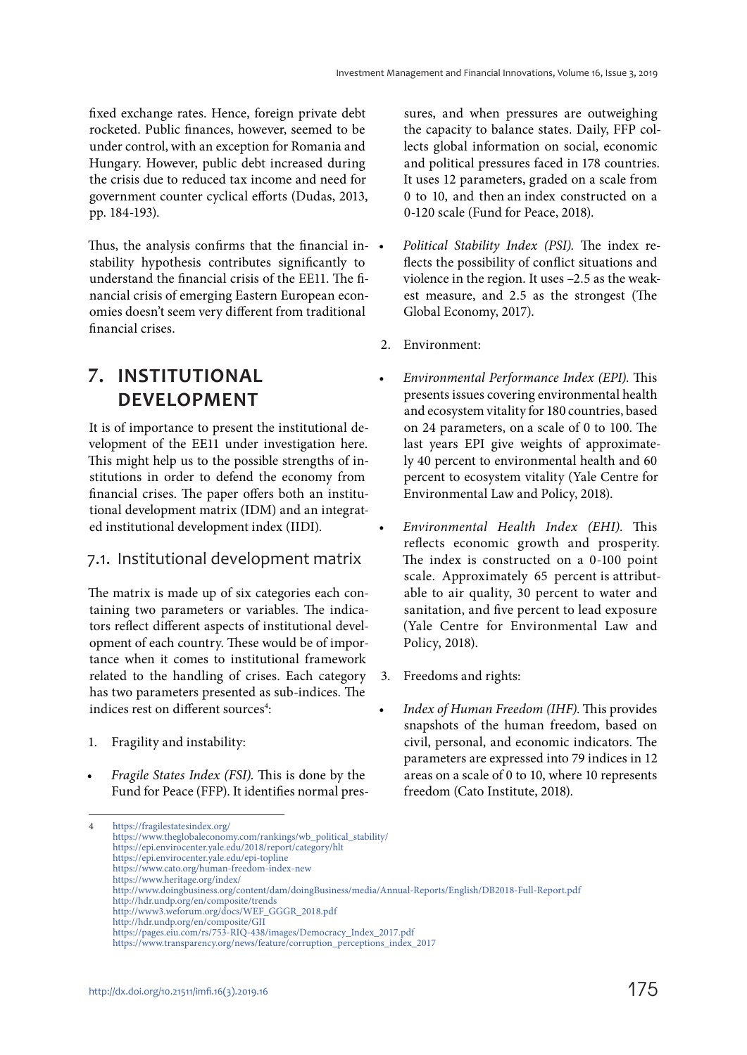fixed exchange rates. Hence, foreign private debt rocketed. Public finances, however, seemed to be under control, with an exception for Romania and Hungary. However, public debt increased during the crisis due to reduced tax income and need for government counter cyclical efforts (Dudas, 2013, pp. 184-193).

Thus, the analysis confirms that the financial instability hypothesis contributes significantly to understand the financial crisis of the EE11. The financial crisis of emerging Eastern European economies doesn't seem very different from traditional financial crises.

## **7. INSTITUTIONAL DEVELOPMENT**

It is of importance to present the institutional development of the EE11 under investigation here. This might help us to the possible strengths of institutions in order to defend the economy from financial crises. The paper offers both an institutional development matrix (IDM) and an integrated institutional development index (IIDI).

### 7.1. Institutional development matrix

The matrix is made up of six categories each containing two parameters or variables. The indicators reflect different aspects of institutional development of each country. These would be of importance when it comes to institutional framework related to the handling of crises. Each category has two parameters presented as sub-indices. The indices rest on different sources<sup>4</sup>:

- 1. Fragility and instability:
- Fragile States Index (FSI). This is done by the Fund for Peace (FFP). It identifies normal pres-

sures, and when pressures are outweighing the capacity to balance states. Daily, FFP collects global information on social, economic and political pressures faced in 178 countries. It uses 12 parameters, graded on a scale from 0 to 10, and then an index constructed on a 0-120 scale (Fund for Peace, 2018).

- Political Stability Index (PSI). The index reflects the possibility of conflict situations and violence in the region. It uses –2.5 as the weakest measure, and 2.5 as the strongest (The Global Economy, 2017).
- 2. Environment:
- Environmental Performance Index (EPI). This presents issues covering environmental health and ecosystem vitality for 180 countries, based on 24 parameters, on a scale of 0 to 100. The last years EPI give weights of approximately 40 percent to environmental health and 60 percent to ecosystem vitality (Yale Centre for Environmental Law and Policy, 2018).
- Environmental Health Index (EHI). This reflects economic growth and prosperity. The index is constructed on a 0-100 point scale. Approximately 65 percent is attributable to air quality, 30 percent to water and sanitation, and five percent to lead exposure (Yale Centre for Environmental Law and Policy, 2018).
- 3. Freedoms and rights:
- Index of Human Freedom (IHF). This provides snapshots of the human freedom, based on civil, personal, and economic indicators. The parameters are expressed into 79 indices in 12 areas on a scale of 0 to 10, where 10 represents freedom (Cato Institute, 2018).

- https://epi.envirocenter.yale.edu/epi-topline https://www.cato.org/human-freedom-index-new
- https://www.heritage.org/index/

<sup>4</sup> https://fragilestatesindex.org/ https://www.theglobaleconomy.com/rankings/wb\_political\_stability/ https://epi.envirocenter.yale.edu/2018/report/category/hlt

http://www.doingbusiness.org/content/dam/doingBusiness/media/Annual-Reports/English/DB2018-Full-Report.pdf

http://hdr.undp.org/en/composite/trends

http://www3.weforum.org/docs/WEF\_GGGR\_2018.pdf

http://hdr.undp.org/en/composite/GII

https://pages.eiu.com/rs/753-RIQ-438/images/Democracy\_Index\_2017.pdf

https://www.transparency.org/news/feature/corruption\_perceptions\_index\_2017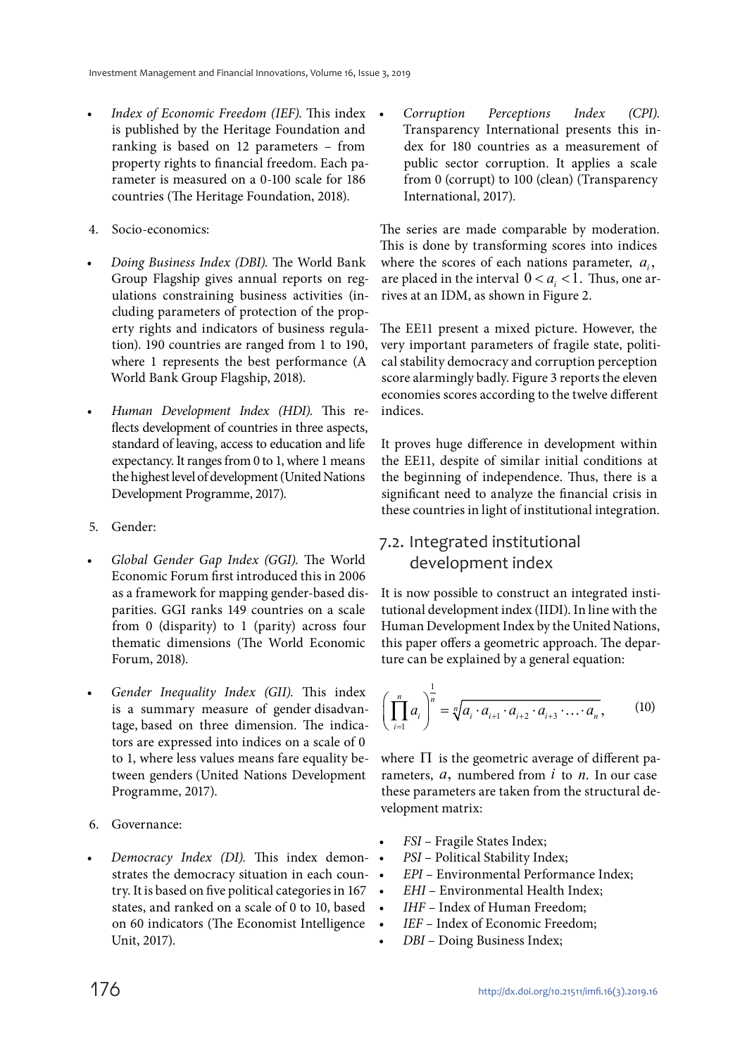- Index of Economic Freedom (IEF). This index is published by the Heritage Foundation and ranking is based on 12 parameters – from property rights to financial freedom. Each parameter is measured on a 0-100 scale for 186 countries (The Heritage Foundation, 2018).
- 4. Socio-economics:
- Doing Business Index (DBI). The World Bank Group Flagship gives annual reports on regulations constraining business activities (including parameters of protection of the property rights and indicators of business regulation). 190 countries are ranged from 1 to 190, where 1 represents the best performance (A World Bank Group Flagship, 2018).
- Human Development Index (HDI). This reflects development of countries in three aspects, standard of leaving, access to education and life expectancy. It ranges from 0 to 1, where 1 means the highest level of development (United Nations Development Programme, 2017).
- 5. Gender:
- Global Gender Gap Index (GGI). The World Economic Forum first introduced this in 2006 as a framework for mapping gender-based disparities. GGI ranks 149 countries on a scale from 0 (disparity) to 1 (parity) across four thematic dimensions (The World Economic Forum, 2018).
- Gender Inequality Index (GII). This index is a summary measure of gender disadvantage, based on three dimension. The indicators are expressed into indices on a scale of 0 to 1, where less values means fare equality between genders (United Nations Development Programme, 2017).
- 6. Governance:
- Democracy Index (DI). This index demonstrates the democracy situation in each country. It is based on five political categories in 167 states, and ranked on a scale of 0 to 10, based on 60 indicators (The Economist Intelligence Unit, 2017).

• Corruption Perceptions Index (CPI). Transparency International presents this index for 180 countries as a measurement of public sector corruption. It applies a scale from 0 (corrupt) to 100 (clean) (Transparency International, 2017).

The series are made comparable by moderation. This is done by transforming scores into indices where the scores of each nations parameter,  $a_i$ , are placed in the interval  $0 < a_i < 1$ . Thus, one arrives at an IDM, as shown in Figure 2.

The EE11 present a mixed picture. However, the very important parameters of fragile state, political stability democracy and corruption perception score alarmingly badly. Figure 3 reports the eleven economies scores according to the twelve different indices.

It proves huge difference in development within the EE11, despite of similar initial conditions at the beginning of independence. Thus, there is a significant need to analyze the financial crisis in these countries in light of institutional integration.

### 7.2. Integrated institutional development index

It is now possible to construct an integrated institutional development index (IIDI). In line with the Human Development Index by the United Nations, this paper offers a geometric approach. The departure can be explained by a general equation:

$$
\left(\prod_{i=1}^{n} a_i\right)^{\frac{1}{n}} = \sqrt[n]{a_i \cdot a_{i+1} \cdot a_{i+2} \cdot a_{i+3} \cdot \dots \cdot a_n},\tag{10}
$$

where  $\Pi$  is the geometric average of different parameters, *a*, numbered from *i* to *n*. In our case these parameters are taken from the structural development matrix:

- FSI Fragile States Index;
- PSI Political Stability Index;
- EPI Environmental Performance Index;
- EHI Environmental Health Index;
- *IHF* Index of Human Freedom;
- IEF Index of Economic Freedom;
- DBI Doing Business Index;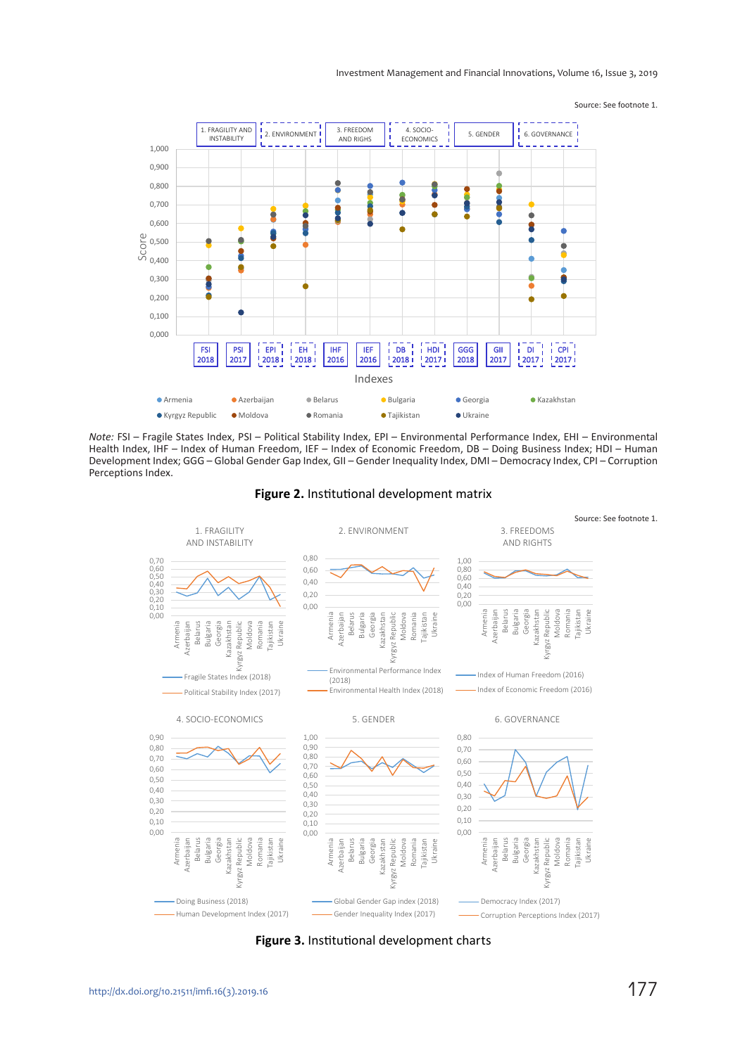#### Investment Management and Financial Innovations, Volume 16, Issue 3, 2019

Source: See footnote 1.



*Note:* FSI – Fragile States Index, PSI – Political Stability Index, EPI – Environmental Performance Index, EHI – Environmental Health Index, IHF – Index of Human Freedom, IEF – Index of Economic Freedom, DB – Doing Business Index; HDI – Human Development Index; GGG – Global Gender Gap Index, GII – Gender Inequality Index, DMI – Democracy Index, CPI – Corruption Perceptions Index.



**Figure 2.** Institutional development matrix

**Figure 3.** Institutional development charts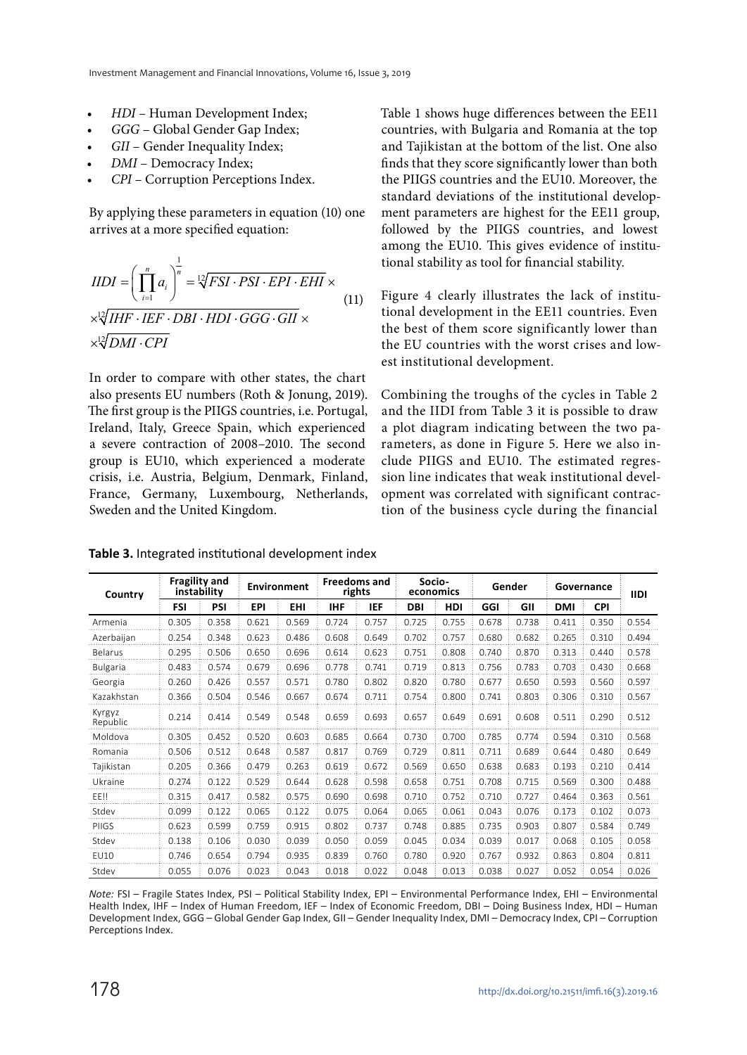- HDI Human Development Index;
- GGG Global Gender Gap Index;
- GII Gender Inequality Index;
- DMI Democracy Index;
- CPI Corruption Perceptions Index.

By applying these parameters in equation (10) one arrives at a more specified equation:

$$
IIDI = \left(\prod_{i=1}^{n} a_i\right)^{\frac{1}{n}} = \sqrt[12]{FSI \cdot PSI \cdot EPI \cdot EHI} \times
$$
  

$$
\times \sqrt[12]{IHF \cdot IEF \cdot DBI \cdot HDI \cdot GGG \cdot GII} \times
$$
  

$$
\times \sqrt[12]{DMI \cdot CPI}
$$
 (11)

In order to compare with other states, the chart also presents EU numbers (Roth & Jonung, 2019). The first group is the PIIGS countries, i.e. Portugal, Ireland, Italy, Greece Spain, which experienced a severe contraction of 2008–2010. The second group is EU10, which experienced a moderate crisis, i.e. Austria, Belgium, Denmark, Finland, France, Germany, Luxembourg, Netherlands, Sweden and the United Kingdom.

Table 1 shows huge differences between the EE11 countries, with Bulgaria and Romania at the top and Tajikistan at the bottom of the list. One also finds that they score significantly lower than both the PIIGS countries and the EU10. Moreover, the standard deviations of the institutional development parameters are highest for the EE11 group, followed by the PIIGS countries, and lowest among the EU10. This gives evidence of institutional stability as tool for financial stability.

Figure 4 clearly illustrates the lack of institutional development in the EE11 countries. Even the best of them score significantly lower than the EU countries with the worst crises and lowest institutional development.

Combining the troughs of the cycles in Table 2 and the IIDI from Table 3 it is possible to draw a plot diagram indicating between the two parameters, as done in Figure 5. Here we also include PIIGS and EU10. The estimated regression line indicates that weak institutional development was correlated with significant contraction of the business cycle during the financial

| Country            | <b>Fragility and</b><br>instability |       | <b>Environment</b> |       | <b>Freedoms and</b><br>rights |       | Socio-<br>economics |            | Gender |       | Governance |            | <b>IIDI</b> |
|--------------------|-------------------------------------|-------|--------------------|-------|-------------------------------|-------|---------------------|------------|--------|-------|------------|------------|-------------|
|                    | <b>FSI</b>                          | PSI   | EPI                | EHI   | IHF                           | IEF   | <b>DBI</b>          | <b>HDI</b> | GGI    | GII   | <b>DMI</b> | <b>CPI</b> |             |
| Armenia            | 0.305                               | 0.358 | 0.621              | 0.569 | 0.724                         | 0.757 | 0.725               | 0.755      | 0.678  | 0.738 | 0.411      | 0.350      | 0.554       |
| Azerbaijan         | 0.254                               | 0.348 | 0.623              | 0.486 | 0.608                         | 0.649 | 0.702               | 0.757      | 0.680  | 0.682 | 0.265      | 0.310      | 0.494       |
| Belarus            | 0.295                               | 0.506 | 0.650              | 0.696 | 0.614                         | 0.623 | 0.751               | 0.808      | 0.740  | 0.870 | 0.313      | 0.440      | 0.578       |
| <b>Bulgaria</b>    | 0.483                               | 0.574 | 0.679              | 0.696 | 0.778                         | 0.741 | 0.719               | 0.813      | 0.756  | 0.783 | 0.703      | 0.430      | 0.668       |
| Georgia            | 0.260                               | 0.426 | 0.557              | 0.571 | 0.780                         | 0.802 | 0.820               | 0.780      | 0.677  | 0.650 | 0.593      | 0.560      | 0.597       |
| Kazakhstan         | 0.366                               | 0.504 | 0.546              | 0.667 | 0.674                         | 0.711 | 0.754               | 0.800      | 0.741  | 0.803 | 0.306      | 0.310      | 0.567       |
| Kyrgyz<br>Republic | 0.214                               | 0.414 | 0.549              | 0.548 | 0.659                         | 0.693 | 0.657               | 0.649      | 0.691  | 0.608 | 0.511      | 0.290      | 0.512       |
| Moldova            | 0.305                               | 0.452 | 0.520              | 0.603 | 0.685                         | 0.664 | 0.730               | 0.700      | 0.785  | 0.774 | 0.594      | 0.310      | 0.568       |
| Romania            | 0.506                               | 0.512 | 0.648              | 0.587 | 0.817                         | 0.769 | 0.729               | 0.811      | 0.711  | 0.689 | 0.644      | 0.480      | 0.649       |
| Tajikistan         | 0.205                               | 0.366 | 0.479              | 0.263 | 0.619                         | 0.672 | 0.569               | 0.650      | 0.638  | 0.683 | 0.193      | 0.210      | 0.414       |
| Ukraine            | 0.274                               | 0.122 | 0.529              | 0.644 | 0.628                         | 0.598 | 0.658               | 0.751      | 0.708  | 0.715 | 0.569      | 0.300      | 0.488       |
| FF!!               | 0.315                               | 0.417 | 0.582              | 0.575 | 0.690                         | 0.698 | 0.710               | 0.752      | 0.710  | 0.727 | 0.464      | 0.363      | 0.561       |
| Stdev              | 0.099                               | 0.122 | 0.065              | 0.122 | 0.075                         | 0.064 | 0.065               | 0.061      | 0.043  | 0.076 | 0.173      | 0.102      | 0.073       |
| PIIGS              | 0.623                               | 0.599 | 0.759              | 0.915 | 0.802                         | 0.737 | 0.748               | 0.885      | 0.735  | 0.903 | 0.807      | 0.584      | 0.749       |
| Stdev              | 0.138                               | 0.106 | 0.030              | 0.039 | 0.050                         | 0.059 | 0.045               | 0.034      | 0.039  | 0.017 | 0.068      | 0.105      | 0.058       |
| <b>EU10</b>        | 0.746                               | 0.654 | 0.794              | 0.935 | 0.839                         | 0.760 | 0.780               | 0.920      | 0.767  | 0.932 | 0.863      | 0.804      | 0.811       |
| Stdev              | 0.055                               | 0.076 | 0.023              | 0.043 | 0.018                         | 0.022 | 0.048               | 0.013      | 0.038  | 0.027 | 0.052      | 0.054      | 0.026       |

**Table 3.** Integrated institutional development index

*Note:* FSI – Fragile States Index, PSI – Political Stability Index, EPI – Environmental Performance Index, EHI – Environmental Health Index, IHF – Index of Human Freedom, IEF – Index of Economic Freedom, DBI – Doing Business Index, HDI – Human Development Index, GGG – Global Gender Gap Index, GII – Gender Inequality Index, DMI – Democracy Index, CPI – Corruption Perceptions Index.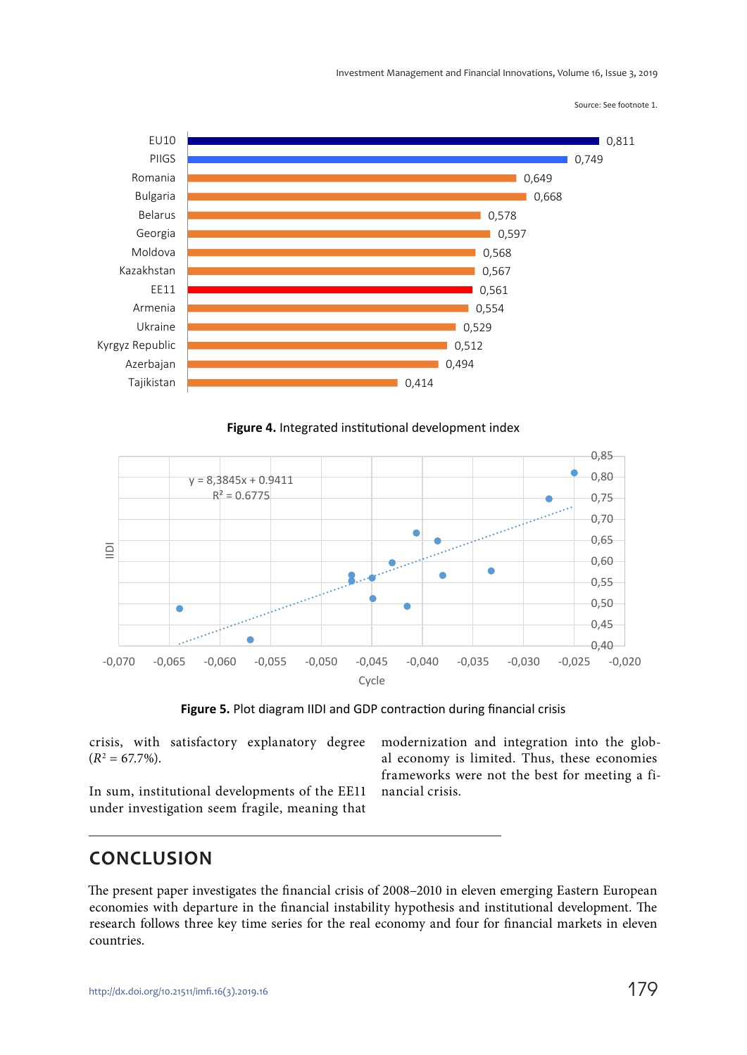Investment Management and Financial Innovations, Volume 16, Issue 3, 2019

Source: See footnote 1.



**Figure 4.** Integrated institutional development index



**Figure 5.** Plot diagram IIDI and GDP contraction during financial crisis

crisis, with satisfactory explanatory degree  $(R^2 = 67.7\%).$ 

In sum, institutional developments of the EE11 under investigation seem fragile, meaning that modernization and integration into the global economy is limited. Thus, these economies frameworks were not the best for meeting a financial crisis.

### **CONCLUSION**

The present paper investigates the financial crisis of 2008–2010 in eleven emerging Eastern European economies with departure in the financial instability hypothesis and institutional development. The research follows three key time series for the real economy and four for financial markets in eleven countries.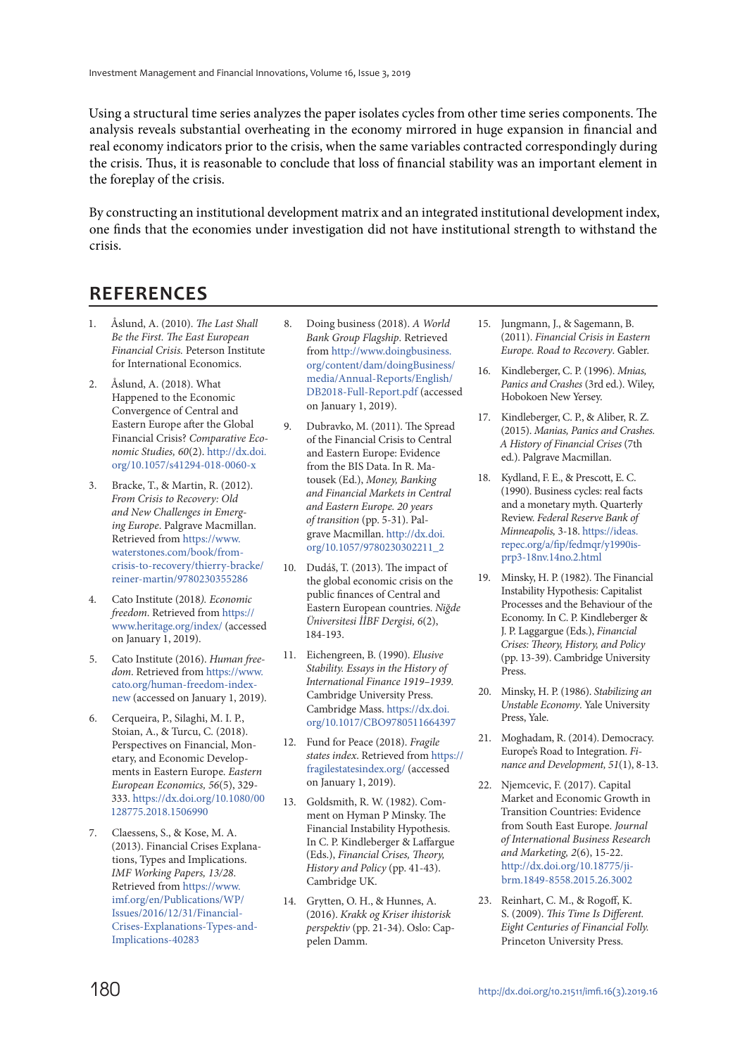Using a structural time series analyzes the paper isolates cycles from other time series components. The analysis reveals substantial overheating in the economy mirrored in huge expansion in financial and real economy indicators prior to the crisis, when the same variables contracted correspondingly during the crisis. Thus, it is reasonable to conclude that loss of financial stability was an important element in the foreplay of the crisis.

By constructing an institutional development matrix and an integrated institutional development index, one finds that the economies under investigation did not have institutional strength to withstand the crisis.

## **REFERENCES**

- 1. Åslund, A. (2010). The Last Shall Be the First. The East European Financial Crisis. Peterson Institute for International Economics.
- 2. Åslund, A. (2018). What Happened to the Economic Convergence of Central and Eastern Europe after the Global Financial Crisis? Comparative Economic Studies, 60(2). http://dx.doi. org/10.1057/s41294-018-0060-x
- 3. Bracke, T., & Martin, R. (2012). From Crisis to Recovery: Old and New Challenges in Emerging Europe. Palgrave Macmillan. Retrieved from https://www. waterstones.com/book/fromcrisis-to-recovery/thierry-bracke/ reiner-martin/9780230355286
- 4. Cato Institute (2018). Economic freedom. Retrieved from https:// www.heritage.org/index/ (accessed on January 1, 2019).
- 5. Cato Institute (2016). Human freedom. Retrieved from https://www. cato.org/human-freedom-indexnew (accessed on January 1, 2019).
- 6. Cerqueira, P., Silaghi, M. I. P., Stoian, A., & Turcu, C. (2018). Perspectives on Financial, Monetary, and Economic Developments in Eastern Europe. Eastern European Economics, 56(5), 329- 333. https://dx.doi.org/10.1080/00 128775.2018.1506990
- 7. Claessens, S., & Kose, M. A. (2013). Financial Crises Explanations, Types and Implications. IMF Working Papers, 13/28. Retrieved from https://www. imf.org/en/Publications/WP/ Issues/2016/12/31/Financial-Crises-Explanations-Types-and-Implications-40283
- 8. Doing business (2018). A World Bank Group Flagship. Retrieved from http://www.doingbusiness. org/content/dam/doingBusiness/ media/Annual-Reports/English/ DB2018-Full-Report.pdf (accessed on January 1, 2019).
- 9. Dubravko, M. (2011). The Spread of the Financial Crisis to Central and Eastern Europe: Evidence from the BIS Data. In R. Matousek (Ed.), Money, Banking and Financial Markets in Central and Eastern Europe. 20 years of transition (pp. 5-31). Palgrave Macmillan. http://dx.doi. org/10.1057/9780230302211\_2
- 10. Dudáš, T. (2013). The impact of the global economic crisis on the public finances of Central and Eastern European countries. Niğde Üniversitesi İİBF Dergisi, 6(2), 184-193.
- 11. Eichengreen, B. (1990). Elusive Stability. Essays in the History of International Finance 1919–1939. Cambridge University Press. Cambridge Mass. https://dx.doi. org/10.1017/CBO9780511664397
- 12. Fund for Peace (2018). Fragile states index. Retrieved from https:// fragilestatesindex.org/ (accessed on January 1, 2019).
- 13. Goldsmith, R. W. (1982). Comment on Hyman P Minsky. The Financial Instability Hypothesis. In C. P. Kindleberger & Laffargue (Eds.), Financial Crises, Theory, History and Policy (pp. 41-43). Cambridge UK.
- 14. Grytten, O. H., & Hunnes, A. (2016). Krakk og Kriser ihistorisk perspektiv (pp. 21-34). Oslo: Cappelen Damm.
- 15. Jungmann, J., & Sagemann, B. (2011). Financial Crisis in Eastern Europe. Road to Recovery. Gabler.
- 16. Kindleberger, C. P. (1996). Mnias, Panics and Crashes (3rd ed.). Wiley, Hobokoen New Yersey.
- 17. Kindleberger, C. P., & Aliber, R. Z. (2015). Manias, Panics and Crashes. A History of Financial Crises (7th ed.). Palgrave Macmillan.
- 18. Kydland, F. E., & Prescott, E. C. (1990). Business cycles: real facts and a monetary myth. Quarterly Review. Federal Reserve Bank of Minneapolis, 3-18. https://ideas. repec.org/a/fip/fedmqr/y1990isprp3-18nv.14no.2.html
- 19. Minsky, H. P. (1982). The Financial Instability Hypothesis: Capitalist Processes and the Behaviour of the Economy. In C. P. Kindleberger & J. P. Laggargue (Eds.), Financial Crises: Theory, History, and Policy (pp. 13-39). Cambridge University Press.
- 20. Minsky, H. P. (1986). Stabilizing an Unstable Economy. Yale University Press, Yale.
- 21. Moghadam, R. (2014). Democracy. Europe's Road to Integration. Finance and Development, 51(1), 8-13.
- 22. Njemcevic, F. (2017). Capital Market and Economic Growth in Transition Countries: Evidence from South East Europe. Journal of International Business Research and Marketing, 2(6), 15-22. http://dx.doi.org/10.18775/jibrm.1849-8558.2015.26.3002
- 23. Reinhart, C. M., & Rogoff, K. S. (2009). This Time Is Different. Eight Centuries of Financial Folly. Princeton University Press.